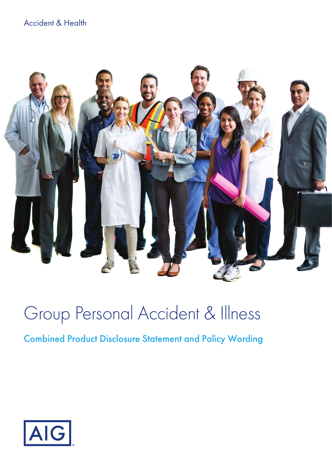## Accident & Health



# Group Personal Accident & Illness

## Combined Product Disclosure Statement and Policy Wording

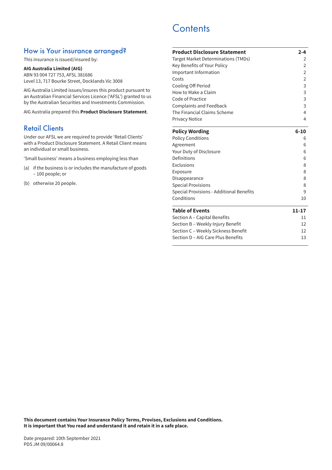### How is Your insurance arranged?

This insurance is issued/insured by:

#### **AIG Australia Limited (AIG)**

ABN 93 004 727 753, AFSL 381686 Level 13, 717 Bourke Street, Docklands Vic 3008

AIG Australia Limited issues/insures this product pursuant to an Australian Financial Services Licence ('AFSL') granted to us by the Australian Securities and Investments Commission.

AIG Australia prepared this **Product Disclosure Statement**.

## Retail Clients

Under our AFSL we are required to provide 'Retail Clients' with a Product Disclosure Statement. A Retail Client means an individual or small business.

'Small business' means a business employing less than

- (a) if the business is or includes the manufacture of goods – 100 people; or
- (b) otherwise 20 people.

## **Contents**

| <b>Product Disclosure Statement</b>        | $2 - 4$        |
|--------------------------------------------|----------------|
| <b>Target Market Determinations (TMDs)</b> | 2              |
| Key Benefits of Your Policy                | $\overline{2}$ |
| Important Information                      | 2              |
| Costs                                      | $\overline{2}$ |
| Cooling Off Period                         | 3              |
| How to Make a Claim                        | 3              |
| Code of Practice                           | 3              |
| <b>Complaints and Feedback</b>             | 3              |
| The Financial Claims Scheme                | 4              |
| Privacy Notice                             | 4              |
| <b>Policy Wording</b>                      | $6 - 10$       |
| <b>Policy Conditions</b>                   | 6              |
| Agreement                                  | 6              |
| Your Duty of Disclosure                    | 6              |
| Definitions                                | 6              |
| Exclusions                                 | 8              |
| Exposure                                   | 8              |
| Disappearance                              | 8              |
| <b>Special Provisions</b>                  | 8              |
| Special Provisions - Additional Benefits   | 9              |
| Conditions                                 | 10             |
| <b>Table of Events</b>                     | 11-17          |
| Section A - Capital Benefits               | 11             |
| Section B - Weekly Injury Benefit          | 12             |
| Section C - Weekly Sickness Benefit        | 12             |
| Section D - AIG Care Plus Benefits         | 13             |

**This document contains Your Insurance Policy Terms, Provisos, Exclusions and Conditions. It is important that You read and understand it and retain it in a safe place.**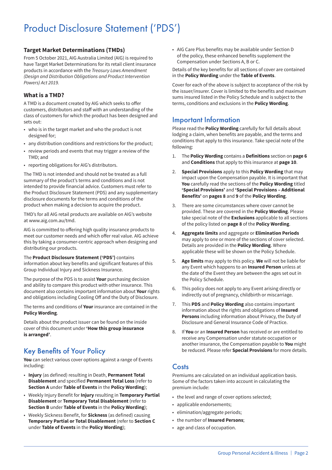## Product Disclosure Statement ('PDS')

#### **Target Market Determinations (TMDs)**

From 5 October 2021, AIG Australia Limited (AIG) is required to have Target Market Determinations for its retail client insurance products in accordance with the *Treasury Laws Amendment (Design and Distribution Obligations and Product Intervention Powers) Act 2019.*

#### **What is a TMD?**

A TMD is a document created by AIG which seeks to offer customers, distributors and staff with an understanding of the class of customers for which the product has been designed and sets out:

- who is in the target market and who the product is not designed for;
- any distribution conditions and restrictions for the product;
- review periods and events that may trigger a review of the TMD; and
- reporting obligations for AIG's distributors.

The TMD is not intended and should not be treated as a full summary of the product's terms and conditions and is not intended to provide financial advice. Customers must refer to the Product Disclosure Statement (PDS) and any supplementary disclosure documents for the terms and conditions of the product when making a decision to acquire the product.

TMD's for all AIG retail products are available on AIG's website at [www.aig.com.au/tmd](http://www.aig.com.au/tmd).

AIG is committed to offering high quality insurance products to meet our customer needs and which offer real value. AIG achieve this by taking a consumer-centric approach when designing and distributing our products.

The **Product Disclosure Statement ('PDS')** contains information about key benefits and significant features of this Group Individual Injury and Sickness Insurance.

The purpose of the PDS is to assist **Your** purchasing decision and ability to compare this product with other insurance. This document also contains important information about **Your** rights and obligations including Cooling Off and the Duty of Disclosure.

The terms and conditions of **Your** insurance are contained in the **Policy Wording**.

Details about the product issuer can be found on the inside cover of this document under **'How this group insurance is arranged'**.

## Key Benefits of Your Policy

**You** can select various cover options against a range of Events including:

- **Injury** (as defined) resulting in Death, **Permanent Total Disablement** and specified **Permanent Total Loss** (refer to **Section A** under **Table of Events** in the **Policy Wording**);
- Weekly Injury Benefit for **Injury** resulting in **Temporary Partial Disablement** or **Temporary Total Disablement** (refer to **Section B** under **Table of Events** in the **Policy Wording**);
- Weekly Sickness Benefit, for **Sickness** (as defined) causing **Temporary Partial or Total Disablement** (refer to **Section C** under **Table of Events** in the **Policy Wording**);

• AIG Care Plus benefits may be available under Section D of the policy, these enhanced benefits supplement the Compensation under Sections A, B or C.

#### Details of the key benefits for all sections of cover are contained in the **Policy Wording** under the **Table of Events**.

Cover for each of the above is subject to acceptance of the risk by the issuer/insurer. Cover is limited to the benefits and maximum sums insured listed in the Policy Schedule and is subject to the terms, conditions and exclusions in the **Policy Wording**.

### Important Information

Please read the **Policy Wording** carefully for full details about lodging a claim, when benefits are payable, and the terms and conditions that apply to this insurance. Take special note of the following:

- 1. The **Policy Wording** contains a **Definitions** section on **page 6** and **Conditions** that apply to this insurance at **page 10**.
- 2. **Special Provisions** apply to this **Policy Wording** that may impact upon the Compensation payable. It is important that **You** carefully read the sections of the **Policy Wording** titled **'Special Provisions'** and **'Special Provisions – Additional Benefits'** on **pages 8** and **9** of the **Policy Wording**.
- 3. There are some circumstances where cover cannot be provided. These are covered in the **Policy Wording**. Please take special note of the **Exclusions** applicable to all sections of the policy listed on **page 8** of the **Policy Wording**.
- 4. **Aggregate limits** and aggregate or **Elimination Periods** may apply to one or more of the sections of cover selected. Details are provided in the **Policy Wording**. Where applicable these will be shown on the Policy Schedule.
- 5. **Age limits** may apply to this policy. **We** will not be liable for any Event which happens to an **Insured Person** unless at the date of the Event they are between the ages set out in the Policy Schedule.
- 6. This policy does not apply to any Event arising directly or indirectly out of pregnancy, childbirth or miscarriage.
- 7. This **PDS** and **Policy Wording** also contains important information about the rights and obligations of **Insured Persons** including information about Privacy, the Duty of Disclosure and General Insurance Code of Practice.
- 8. If **You** or an **Insured Person** has received or are entitled to receive any Compensation under statute occupation or another insurance, the Compensation payable to **You** might be reduced. Please refer **Special Provisions** for more details.

## Costs

Premiums are calculated on an individual application basis. Some of the factors taken into account in calculating the premium include:

- the level and range of cover options selected;
- applicable endorsements;
- elimination/aggregate periods;
- the number of **Insured Persons**;
- age and class of occupation.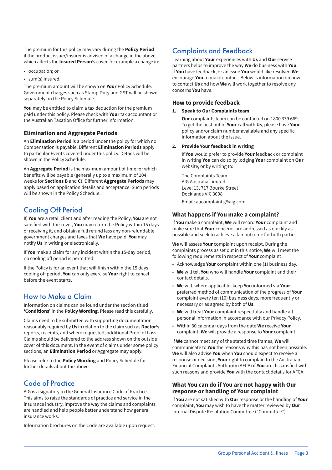The premium for this policy may vary during the **Policy Period** if the product issuer/insurer is advised of a change in the above which affects the **Insured Person's** cover, for example a change in:

- occupation; or
- sum(s) insured.

The premium amount will be shown on **Your** Policy Schedule. Government charges such as Stamp Duty and GST will be shown separately on the Policy Schedule.

**You** may be entitled to claim a tax deduction for the premium paid under this policy. Please check with **Your** tax accountant or the Australian Taxation Office for further information.

#### **Elimination and Aggregate Periods**

An **Elimination Period** is a period under the policy for which no Compensation is payable. Different **Elimination Periods** apply to particular Events covered under this policy. Details will be shown in the Policy Schedule.

An **Aggregate Period** is the maximum amount of time for which benefits will be payable (generally up to a maximum of 104 weeks for **Sections B** and **C**). Different **Aggregate Periods** may apply based on application details and acceptance. Such periods will be shown in the Policy Schedule.

## Cooling Off Period

If, **You** are a retail client and after reading the Policy, **You** are not satisfied with the cover, **You** may return the Policy within 15 days of receiving it, and obtain a full refund less any non-refundable government charges and taxes that **We** have paid. **You** may notify **Us** in writing or electronically.

If **You** make a claim for any incident within the 15-day period, no cooling off period is permitted.

If the Policy is for an event that will finish within the 15 days cooling off period, **You** can only exercise **Your** right to cancel before the event starts.

## How to Make a Claim

Information on claims can be found under the section titled **'Conditions'** in the **Policy Wording**. Please read this carefully.

Claims need to be submitted with supporting documentation reasonably required by **Us** in relation to the claim such as **Doctor's** reports, receipts, and where requested, additional Proof of Loss. Claims should be delivered to the address shown on the outside cover of this document. In the event of claims under some policy sections, an **Elimination Period** or Aggregate may apply.

Please refer to the **Policy Wording** and Policy Schedule for further details about the above.

## Code of Practice

AIG is a signatory to the General Insurance Code of Practice. This aims to raise the standards of practice and service in the insurance industry, improve the way the claims and complaints are handled and help people better understand how general insurance works.

Information brochures on the Code are available upon request.

## Complaints and Feedback

Learning about **Your** experiences with **Us** and **Our** service partners helps to improve the way **We** do business with **You**. If **You** have feedback, or an issue **You** would like resolved **We** encourage **You** to make contact. Below is information on how to contact **Us** and how **We** will work together to resolve any concerns **You** have.

#### **How to provide feedback**

#### **1. Speak to Our Complaints team**

**Our** complaints team can be contacted on 1800 339 669. To get the best out of **Your** call with **Us**, please have **Your** policy and/or claim number available and any specific information about the issue.

#### **2. Provide Your feedback in writing**

If **You** would prefer to provide **Your** feedback or complaint in writing **You** can do so by lodging **Your** complaint on **Our** website, or by writing to:

The Complaints Team AIG Australia Limited Level 13, 717 Bourke Street Docklands VIC 3008 Email: aucomplaints@aig.com

#### **What happens if You make a complaint?**

If **You** make a complaint, **We** will record **Your** complaint and make sure that **Your** concerns are addressed as quickly as possible and seek to achieve a fair outcome for both parties.

**We** will assess **Your** complaint upon receipt. During the complaints process as set out in this notice, **We** will meet the following requirements in respect of **Your** complaint.

- Acknowledge **Your** complaint within one (1) business day.
- **We** will tell **You** who will handle **Your** complaint and their contact details.
- **We** will, where applicable, keep **You** informed via **Your** preferred method of communication of the progress of **Your** complaint every ten (10) business days, more frequently or necessary or as agreed by both of **Us**.
- **We** will treat **Your** complaint respectfully and handle all personal information in accordance with our Privacy Policy.
- Within 30 calendar days from the date **We** receive **Your** complaint, **We** will provide a response to **Your** complaint.

If **We** cannot meet any of the stated time frames, **We** will communicate to **You** the reasons why this has not been possible. **We** will also advise **You** when **You** should expect to receive a response or decision, **Your** right to complain to the Australian Financial Complaints Authority (AFCA) if **You** are dissatisfied with such reasons and provide **You** with the contact details for AFCA.

#### **What You can do if You are not happy with Our response or handling of Your complaint**

If **You** are not satisfied with **Our** response or the handling of **Your** complaint, **You** may wish to have the matter reviewed by **Our** Internal Dispute Resolution Committee ("Committee").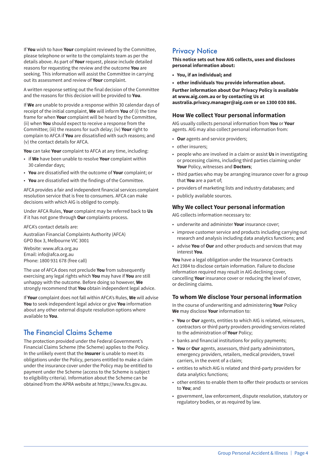If **You** wish to have **Your** complaint reviewed by the Committee, please telephone or write to the complaints team as per the details above. As part of **Your** request, please include detailed reasons for requesting the review and the outcome **You** are seeking. This information will assist the Committee in carrying out its assessment and review of **Your** complaint.

A written response setting out the final decision of the Committee and the reasons for this decision will be provided to **You**.

If **We** are unable to provide a response within 30 calendar days of receipt of the initial complaint, **We** will inform **You** of (i) the time frame for when **Your** complaint will be heard by the Committee, (ii) when **You** should expect to receive a response from the Committee; (iii) the reasons for such delay; (iv) **Your** right to complain to AFCA if **You** are dissatisfied with such reasons; and (v) the contact details for AFCA.

**You** can take **Your** complaint to AFCA at any time, including:

- if **We** have been unable to resolve **Your** complaint within 30 calendar days;
- **You** are dissatisfied with the outcome of **Your** complaint; or
- **You** are dissatisfied with the findings of the Committee.

AFCA provides a fair and independent financial services complaint resolution service that is free to consumers. AFCA can make decisions with which AIG is obliged to comply.

Under AFCA Rules, **Your** complaint may be referred back to **Us** if it has not gone through **Our** complaints process.

AFCA's contact details are:

Australian Financial Complaints Authority (AFCA) GPO Box 3, Melbourne VIC 3001

Website: www.afca.org.au Email: info@afca.org.au Phone: 1800 931 678 (free call)

The use of AFCA does not preclude **You** from subsequently exercising any legal rights which **You** may have if **You** are still unhappy with the outcome. Before doing so however, **We** strongly recommend that **You** obtain independent legal advice.

If **Your** complaint does not fall within AFCA's Rules, **We** will advise **You** to seek independent legal advice or give **You** information about any other external dispute resolution options where available to **You**.

## The Financial Claims Scheme

The protection provided under the Federal Government's Financial Claims Scheme (the Scheme) applies to the Policy. In the unlikely event that the **Insurer** is unable to meet its obligations under the Policy, persons entitled to make a claim under the insurance cover under the Policy may be entitled to payment under the Scheme (access to the Scheme is subject to eligibility criteria). Information about the Scheme can be obtained from the APRA website at https://www.fcs.gov.au.

### **Privacy Notice**

**This notice sets out how AIG collects, uses and discloses personal information about:**

- **• You, if an individual; and**
- **• other individuals You provide information about.**

**Further information about Our Privacy Policy is available at www.aig.com.au or by contacting Us at australia.privacy.manager@aig.com or on 1300 030 886.**

#### **How We collect Your personal information**

AIG usually collects personal information from **You** or **Your** agents. AIG may also collect personal information from:

- **Our** agents and service providers;
- other insurers;
- people who are involved in a claim or assist **Us** in investigating or processing claims, including third parties claiming under **Your** Policy, witnesses and **Doctors**;
- third parties who may be arranging insurance cover for a group that **You** are a part of;
- providers of marketing lists and industry databases; and
- publicly available sources.

#### **Why We collect Your personal information**

AIG collects information necessary to:

- underwrite and administer **Your** insurance cover;
- improve customer service and products including carrying out research and analysis including data analytics functions; and
- advise **You** of **Our** and other products and services that may interest **You**.

**You** have a legal obligation under the Insurance Contracts Act 1984 to disclose certain information. Failure to disclose information required may result in AIG declining cover, cancelling **Your** insurance cover or reducing the level of cover, or declining claims.

#### **To whom We disclose Your personal information**

In the course of underwriting and administering **Your** Policy **We** may disclose **Your** information to:

- **You** or **Our** agents, entities to which AIG is related, reinsurers, contractors or third party providers providing services related to the administration of **Your** Policy;
- banks and financial institutions for policy payments;
- **You** or **Our** agents, assessors, third party administrators, emergency providers, retailers, medical providers, travel carriers, in the event of a claim;
- entities to which AIG is related and third-party providers for data analytics functions;
- other entities to enable them to offer their products or services to **You**; and
- government, law enforcement, dispute resolution, statutory or regulatory bodies, or as required by law.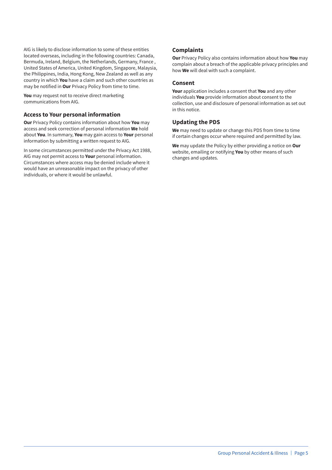AIG is likely to disclose information to some of these entities located overseas, including in the following countries: Canada, Bermuda, Ireland, Belgium, the Netherlands, Germany, France , United States of America, United Kingdom, Singapore, Malaysia, the Philippines, India, Hong Kong, New Zealand as well as any country in which **You** have a claim and such other countries as may be notified in **Our** Privacy Policy from time to time.

**You** may request not to receive direct marketing communications from AIG.

#### **Access to Your personal information**

**Our** Privacy Policy contains information about how **You** may access and seek correction of personal information **We** hold about **You**. In summary, **You** may gain access to **Your** personal information by submitting a written request to AIG.

In some circumstances permitted under the Privacy Act 1988, AIG may not permit access to **Your** personal information. Circumstances where access may be denied include where it would have an unreasonable impact on the privacy of other individuals, or where it would be unlawful.

#### **Complaints**

**Our** Privacy Policy also contains information about how **You** may complain about a breach of the applicable privacy principles and how **We** will deal with such a complaint.

#### **Consent**

**Your** application includes a consent that **You** and any other individuals **You** provide information about consent to the collection, use and disclosure of personal information as set out in this notice.

#### **Updating the PDS**

**We** may need to update or change this PDS from time to time if certain changes occur where required and permitted by law.

**We** may update the Policy by either providing a notice on **Our** website, emailing or notifying **You** by other means of such changes and updates.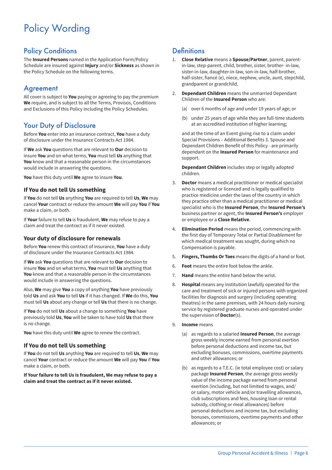## Policy Wording

## Policy Conditions

The **Insured Persons** named in the Application Form/Policy Schedule are insured against **Injury** and/or **Sickness** as shown in the Policy Schedule on the following terms.

## Agreement

All cover is subject to **You** paying or agreeing to pay the premium **We** require, and is subject to all the Terms, Provisos, Conditions and Exclusions of this Policy including the Policy Schedules.

## Your Duty of Disclosure

Before **You** enter into an insurance contract, **You** have a duty of disclosure under the Insurance Contracts Act 1984.

If **We** ask **You** questions that are relevant to **Our** decision to insure **You** and on what terms, **You** must tell **Us** anything that **You** know and that a reasonable person in the circumstances would include in answering the questions.

**You** have this duty until **We** agree to insure **You**.

#### **If You do not tell Us something**

If **You** do not tell **Us** anything **You** are required to tell **Us**, **We** may cancel **Your** contract or reduce the amount **We** will pay **You** if **You** make a claim, or both.

If **Your** failure to tell **Us** is fraudulent, **We** may refuse to pay a claim and treat the contract as if it never existed.

#### **Your duty of disclosure for renewals**

Before **You** renew this contract of insurance, **You** have a duty of disclosure under the Insurance Contracts Act 1984.

If **We** ask **You** questions that are relevant to **Our** decision to insure **You** and on what terms, **You** must tell **Us** anything that **You** know and that a reasonable person in the circumstances would include in answering the questions.

Also, **We** may give **You** a copy of anything **You** have previously told **Us** and ask **You** to tell **Us** if it has changed. If **We** do this, **You** must tell **Us** about any change or tell **Us** that there is no change.

If **You** do not tell **Us** about a change to something **You** have previously told **Us**, **You** will be taken to have told **Us** that there is no change.

**You** have this duty until **We** agree to renew the contract.

#### **If You do not tell Us something**

If **You** do not tell **Us** anything **You** are required to tell **Us**, **We** may cancel **Your** contract or reduce the amount **We** will pay **You** if **You** make a claim, or both.

**If Your failure to tell Us is fraudulent, We may refuse to pay a claim and treat the contract as if it never existed.**

## **Definitions**

- 1. **Close Relative** means a **Spouse/Partner**, parent, parentin-law, step-parent, child, brother, sister, brother- in-law, sister-in-law, daughter-in-law, son-in-law, half-brother, half-sister, fiancé (e), niece, nephew, uncle, aunt, stepchild, grandparent or grandchild.
- 2. **Dependant Children** means the unmarried Dependant Children of the **Insured Person** who are:
	- (a) over 6 months of age and under 19 years of age; or
	- (b) under 25 years of age while they are full-time students at an accredited institution of higher learning;

and at the time of an Event giving rise to a claim under Special Provisions – Additional Benefits 3. Spouse and Dependant Children Benefit of this Policy - are primarily dependant on the **Insured Person** for maintenance and support.

**Dependant Children** includes step or legally adopted children.

- 3. **Doctor** means a medical practitioner or medical specialist who is registered or licenced and is legally qualified to practice medicine under the laws of the country in which they practice other than a medical practitioner or medical specialist who is the **Insured Person**, the **Insured Person's** business partner or agent, the **Insured Person's** employer or employee or a **Close Relative**.
- 4. **Elimination Period** means the period, commencing with the first day of Temporary Total or Partial Disablement for which medical treatment was sought, during which no Compensation is payable.
- 5. **Fingers, Thumbs Or Toes** means the digits of a hand or foot.
- 6. **Foot** means the entire foot below the ankle.
- 7. **Hand** means the entire hand below the wrist.
- 8. **Hospital** means any institution lawfully operated for the care and treatment of sick or injured persons with organized facilities for diagnosis and surgery (including operating theatres) in the same premises, with 24 hours daily nursing service by registered graduate nurses and operated under the supervision of **Doctor**(s).
- 9. **Income** means
	- (a) as regards to a salaried **Insured Person**, the average gross weekly income earned from personal exertion before personal deductions and income tax, but excluding bonuses, commissions, overtime payments and other allowances; or
	- (b) as regards to a T.E.C. (ie total employee cost) or salary package **Insured Person**, the average gross weekly value of the income package earned from personal exertion (including, but not limited to wages, and/ or salary, motor vehicle and/or travelling allowances, club subscriptions and fees, housing loan or rental subsidy, clothing or meal allowances) before personal deductions and income tax, but excluding bonuses, commissions, overtime payments and other allowances; or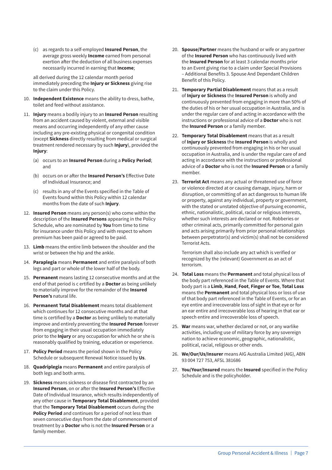(c) as regards to a self-employed **Insured Person**, the average gross weekly **Income** earned from personal exertion after the deduction of all business expenses necessarily incurred in earning that **Income**;

all derived during the 12 calendar month period immediately preceding the **Injury or Sickness** giving rise to the claim under this Policy.

- 10. **Independent Existence** means the ability to dress, bathe, toilet and feed without assistance.
- 11. **Injury** means a bodily injury to an **Insured Person** resulting from an accident caused by violent, external and visible means and occurring independently of any other cause including any pre-existing physical or congenital condition (except **Sickness** directly resulting from medical or surgical treatment rendered necessary by such **Injury**), provided the **Injury**:
	- (a) occurs to an **Insured Person** during a **Policy Period**; and
	- (b) occurs on or after the **Insured Person's** Effective Date of Individual Insurance; and
	- (c) results in any of the Events specified in the Table of Events found within this Policy within 12 calendar months from the date of such **Injury**.
- 12. **Insured Person** means any person(s) who come within the description of the **Insured Persons** appearing in the Policy Schedule, who are nominated by **You** from time to time for insurance under this Policy and with respect to whom premium has been paid or agreed to be paid.
- 13. **Limb** means the entire limb between the shoulder and the wrist or between the hip and the ankle.
- 14. **Paraplegia** means **Permanent** and entire paralysis of both legs and part or whole of the lower half of the body.
- 15. **Permanent** means lasting 12 consecutive months and at the end of that period is c ertified by a **Doctor** as being unlikely to materially improve for the remainder of the **Insured Person's** natural life.
- 16. **Permanent Total Disablement** means total disablement which continues for 12 consecutive months and at that time is certified by a **Doctor** as being unlikely to materially improve and entirely preventing the **Insured Person** forever from engaging in their usual occupation immediately prior to the **Injury** or any occupation for which he or she is reasonably qualified by training, education or experience.
- 17. **Policy Period** means the period shown in the Policy Schedule or subsequent Renewal Notice issued by **Us**.
- 18. **Quadriplegia** means **Permanent** and entire paralysis of both legs and both arms.
- 19. **Sickness** means sickness or disease first contracted by an **Insured Person**, on or after the **Insured Person's** Effective Date of Individual Insurance, which results independently of any other cause in **Temporary Total Disablement**, provided that the **Temporary Total Disablement** occurs during the **Policy Period** and continues for a period of not less than seven consecutive days from the date of commencement of treatment by a **Doctor** who is not the **Insured Person** or a family member.
- 20. **Spouse/Partner** means the husband or wife or any partner of the **Insured Person** who has continuously lived with the **Insured Person** for at least 3 calendar months prior to an Event giving rise to a claim under Special Provisions – Additional Benefits 3. Spouse And Dependant Children Benefit of this Policy.
- 21. **Temporary Partial Disablement** means that as a result of **Injury or Sickness** the **Insured Person** is wholly and continuously prevented from engaging in more than 50% of the duties of his or her usual occupation in Australia, and is under the regular care of and acting in accordance with the instructions or professional advice of a **Doctor** who is not the **Insured Person** or a family member.
- 22. **Temporary Total Disablement** means that as a result of **Injury or Sickness** the **Insured Person** is wholly and continuously prevented from engaging in his or her usual occupation in Australia, and is under the regular care of and acting in accordance with the instructions or professional advice of a **Doctor** who is not the **Insured Person** or a family member.
- 23. **Terrorist Act** means any actual or threatened use of force or violence directed at or causing damage, injury, harm or disruption, or committing of an act dangerous to human life or property, against any individual, property or government, with the stated or unstated objective of pursuing economic, ethnic, nationalistic, political, racial or religious interests, whether such interests are declared or not. Robberies or other criminal acts, primarily committed for personal gain and acts arising primarily from prior personal relationships between perpetrator(s) and victim(s) shall not be considered Terrorist Acts.

Terrorism shall also include any act which is verified or recognized by the (relevant) Government as an act of terrorism.

- 24. **Total Loss** means the **Permanent** and total physical loss of the body part referenced in the Table of Events. Where that body part is a **Limb**, **Hand**, **Foot**, **Finger or Toe**, **Total Loss** means the **Permanent** and total physical loss or loss of use of that body part referenced in the Table of Events, or for an eye entire and irrecoverable loss of sight in that eye or for an ear entire and irrecoverable loss of hearing in that ear or speech entire and irrecoverable loss of speech.
- 25. **War** means war, whether declared or not, or any warlike activities, including use of military force by any sovereign nation to achieve economic, geographic, nationalistic, political, racial, religious or other ends.
- 26. **We/Our/Us/Insurer** means AIG Australia Limited (AIG), ABN 93 004 727 753, AFSL 381686
- 27. **You/Your/Insured** means the **Insured** specified in the Policy Schedule and is the policyholder.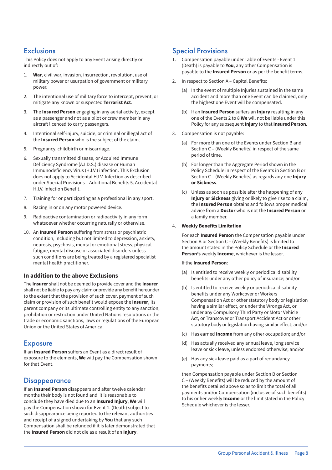## **Exclusions**

This Policy does not apply to any Event arising directly or indirectly out of:

- 1. **War**, civil war, invasion, insurrection, revolution, use of military power or usurpation of government or military power.
- 2. The intentional use of military force to intercept, prevent, or mitigate any known or suspected **Terrorist Act**.
- 3. The **Insured Person** engaging in any aerial activity, except as a passenger and not as a pilot or crew member in any aircraft licenced to carry passengers.
- 4. Intentional self-injury, suicide, or criminal or illegal act of the **Insured Person** who is the subject of the claim.
- 5. Pregnancy, childbirth or miscarriage.
- 6. Sexually transmitted disease, or Acquired Immune Deficiency Syndrome (A.I.D.S.) disease or Human Immunodeficiency Virus (H.I.V.) infection. This Exclusion does not apply to Accidental H.I.V. Infection as described under Special Provisions – Additional Benefits 5. Accidental H.I.V. Infection Benefit.
- 7. Training for or participating as a professional in any sport.
- 8. Racing in or on any motor powered device.
- 9. Radioactive contamination or radioactivity in any form whatsoever whether occurring naturally or otherwise.
- 10. An **Insured Person** suffering from stress or psychiatric condition, including but not limited to depression, anxiety, neurosis, psychosis, mental or emotional stress, physical fatigue, mental disease or associated disorders unless such conditions are being treated by a registered specialist mental health practitioner.

#### **In addition to the above Exclusions**

The **Insurer** shall not be deemed to provide cover and the **Insurer** shall not be liable to pay any claim or provide any benefit hereunder to the extent that the provision of such cover, payment of such claim or provision of such benefit would expose the **Insurer**, its parent company or its ultimate controlling entity to any sanction, prohibition or restriction under United Nations resolutions or the trade or economic sanctions, laws or regulations of the European Union or the United States of America.

### Exposure

If an **Insured Person** suffers an Event as a direct result of exposure to the elements, **We** will pay the Compensation shown for that Event.

### **Disappearance**

If an **Insured Person** disappears and after twelve calendar months their body is not found and it is reasonable to conclude they have died due to an **Insured Injury**, **We** will pay the Compensation shown for Event 1. (Death) subject to such disappearance being reported to the relevant authorities and receipt of a signed undertaking by **You** that any such Compensation shall be refunded if it is later demonstrated that the **Insured Person** did not die as a result of an **Injury**.

## Special Provisions

- 1. Compensation payable under Table of Events Event 1. (Death) is payable to **You**, any other Compensation is payable to the **Insured Person** or as per the benefit terms.
- 2. In respect to Section A Capital Benefits:
	- (a) In the event of multiple Injuries sustained in the same accident and more than one Event can be claimed, only the highest one Event will be compensated.
	- (b) If an **Insured Person** suffers an **Injury** resulting in any one of the Events 2 to 8 **We** will not be liable under this Policy for any subsequent **Injury** to that **Insured Person**.
- 3. Compensation is not payable:
	- (a) For more than one of the Events under Section B and Section C – (Weekly Benefits) in respect of the same period of time.
	- (b) For longer than the Aggregate Period shown in the Policy Schedule in respect of the Events in Section B or Section C – (Weekly Benefits) as regards any one **Injury or Sickness**.
	- (c) Unless as soon as possible after the happening of any **Injury or Sickness** giving or likely to give rise to a claim, the **Insured Person** obtains and follows proper medical advice from a **Doctor** who is not the **Insured Person** or a family member.

#### 4. **Weekly Benefits Limitation**

For each **Insured Person** the Compensation payable under Section B or Section C – (Weekly Benefits) is limited to the amount stated in the Policy Schedule or the **Insured Person's** weekly **Income**, whichever is the lesser.

#### If the **Insured Person**:

- (a) Is entitled to receive weekly or periodical disability benefits under any other policy of insurance; and/or
- (b) Is entitled to receive weekly or periodical disability benefits under any Workcover or Workers Compensation Act or other statutory body or legislation having a similar effect, or under the Wrongs Act, or under any Compulsory Third Party or Motor Vehicle Act, or Transcover or Transport Accident Act or other statutory body or legislation having similar effect; and/or
- (c) Has earned **Income** from any other occupation; and/or
- (d) Has actually received any annual leave, long service leave or sick leave, unless endorsed otherwise; and/or
- (e) Has any sick leave paid as a part of redundancy payments;

then Compensation payable under Section B or Section C – (Weekly Benefits) will be reduced by the amount of the benefits detailed above so as to limit the total of all payments and/or Compensation (inclusive of such benefits) to his or her weekly **Income** or the limit stated in the Policy Schedule whichever is the lesser.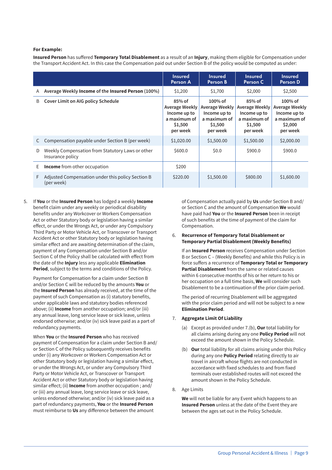#### **For Example:**

**Insured Person** has suffered **Temporary Total Disablement** as a result of an **Injury**, making them eligible for Compensation under the Transport Accident Act. In this case the Compensation paid out under Section B of the policy would be computed as under:

|   |                                                                      | <b>Insured</b><br>Person A                                                        | <b>Insured</b><br>Person B                                                          | <b>Insured</b><br>Person C                                                               | <b>Insured</b><br>Person D                                                          |
|---|----------------------------------------------------------------------|-----------------------------------------------------------------------------------|-------------------------------------------------------------------------------------|------------------------------------------------------------------------------------------|-------------------------------------------------------------------------------------|
| A | Average Weekly Income of the Insured Person (100%)                   | \$1,200                                                                           | \$1,700                                                                             | \$2,000                                                                                  | \$2,500                                                                             |
| B | <b>Cover Limit on AIG policy Schedule</b>                            | $85%$ of<br>Average Weekly<br>Income up to<br>a maximum of<br>\$1,500<br>per week | $100\%$ of<br>Average Weekly<br>Income up to<br>a maximum of<br>\$1,500<br>per week | $85%$ of<br><b>Average Weekly</b><br>Income up to<br>a maximum of<br>\$1,500<br>per week | $100\%$ of<br>Average Weekly<br>Income up to<br>a maximum of<br>\$2,000<br>per week |
| C | Compensation payable under Section B (per week)                      | \$1,020.00                                                                        | \$1,500.00                                                                          | \$1,500.00                                                                               | \$2,000.00                                                                          |
| D | Weekly Compensation from Statutory Laws or other<br>Insurance policy | \$600.0                                                                           | \$0.0\$                                                                             | \$900.0                                                                                  | \$900.0                                                                             |
| E | <b>Income</b> from other occupation                                  | \$200                                                                             |                                                                                     |                                                                                          |                                                                                     |
| F | Adjusted Compensation under this policy Section B<br>(per week)      | \$220.00                                                                          | \$1,500.00                                                                          | \$800.00                                                                                 | \$1,600.00                                                                          |

5. If **You** or the **Insured Person** has lodged a weekly **Income** benefit claim under any weekly or periodical disability benefits under any Workcover or Workers Compensation Act or other Statutory body or legislation having a similar effect, or under the Wrongs Act, or under any Compulsory Third Party or Motor Vehicle Act, or Transcover or Transport Accident Act or other Statutory body or legislation having similar effect and are awaiting determination of the claim, payment of any Compensation under Section B and/or Section C of the Policy shall be calculated with effect from the date of the **Injury** less any applicable **Elimination Period**, subject to the terms and conditions of the Policy.

Payment for Compensation for a claim under Section B and/or Section C will be reduced by the amounts **You** or the **Insured Person** has already received, at the time of the payment of such Compensation as (i) statutory benefits, under applicable laws and statutory bodies referenced above; (ii) **Income** from another occupation; and/or (iii) any annual leave, long service leave or sick leave, unless endorsed otherwise; and/or (iv) sick leave paid as a part of redundancy payments.

When **You** or the **Insured Person** who has received payment of Compensation for a claim under Section B and/ or Section C of the Policy subsequently receives benefits under (i) any Workcover or Workers Compensation Act or other Statutory body or legislation having a similar effect, or under the Wrongs Act, or under any Compulsory Third Party or Motor Vehicle Act, or Transcover or Transport Accident Act or other Statutory body or legislation having similar effect; (ii) **Income** from another occupation ; and/ or (iii) any annual leave, long service leave or sick leave, unless endorsed otherwise; and/or (iv) sick leave paid as a part of redundancy payments, **You** or the **Insured Person** must reimburse to **Us** any difference between the amount

of Compensation actually paid by **Us** under Section B and/ or Section C and the amount of Compensation **We** would have paid had **You** or the **Insured Person** been in receipt of such benefits at the time of payment of the claim for Compensation.

#### 6. **Recurrence of Temporary Total Disablement or Temporary Partial Disablement (Weekly Benefits)**

If an **Insured Person** receives Compensation under Section B or Section C – (Weekly Benefits) and while this Policy is in force suffers a recurrence of **Temporary Total or Temporary Partial Disablement** from the same or related causes within 6 consecutive months of his or her return to his or her occupation on a full time basis, **We** will consider such Disablement to be a continuation of the prior claim period.

The period of recurring Disablement will be aggregated with the prior claim period and will not be subject to a new **Elimination Period**.

#### 7. **Aggregate Limit Of Liability**

- (a) Except as provided under 7.(b), **Our** total liability for all claims arising during any one **Policy Period** will not exceed the amount shown in the Policy Schedule.
- (b) **Our** total liability for all claims arising under this Policy during any one **Policy Period** relating directly to air travel in aircraft whose flights are not conducted in accordance with fixed schedules to and from fixed terminals over established routes will not exceed the amount shown in the Policy Schedule.

#### 8. Age Limits

**We** will not be liable for any Event which happens to an **Insured Person** unless at the date of the Event they are between the ages set out in the Policy Schedule.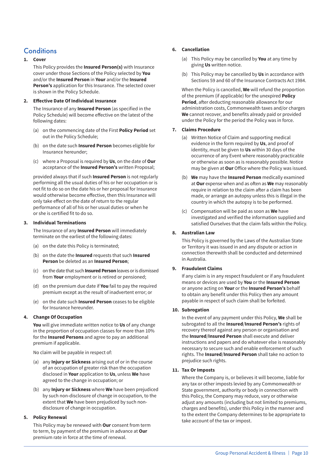## **Conditions**

#### **1. Cover**

This Policy provides the **Insured Person(s)** with Insurance cover under those Sections of the Policy selected by **You** and/or the **Insured Person** in **Your** and/or the **Insured Person's** application for this Insurance. The selected cover is shown in the Policy Schedule.

#### **2. Effective Date Of Individual Insurance**

The Insurance of any **Insured Person** (as specified in the Policy Schedule) will become effective on the latest of the following dates:

- (a) on the commencing date of the First **Policy Period** set out in the Policy Schedule;
- (b) on the date such **Insured Person** becomes eligible for Insurance hereunder;
- (c) where a Proposal is required by **Us**, on the date of **Our** acceptance of the **Insured Person's** written Proposal;

provided always that if such **Insured Person** is not regularly performing all the usual duties of his or her occupation or is not fit to do so on the date his or her proposal for Insurance would otherwise become effective, then this Insurance will only take effect on the date of return to the regular performance of all of his or her usual duties or when he or she is certified fit to do so.

#### **3. Individual Terminations**

The Insurance of any **Insured Person** will immediately terminate on the earliest of the following dates:

- (a) on the date this Policy is terminated;
- (b) on the date the **Insured** requests that such **Insured Person** be deleted as an **Insured Person**;
- (c) on the date that such **Insured Person** leaves or is dismissed from **Your** employment or is retired or pensioned;
- (d) on the premium due date if **You** fail to pay the required premium except as the result of inadvertent error; or
- (e) on the date such **Insured Person** ceases to be eligible for Insurance hereunder.

#### **4. Change Of Occupation**

**You** will give immediate written notice to **Us** of any change in the proportion of occupation classes for more than 10% for the **Insured Persons** and agree to pay an additional premium if applicable.

No claim will be payable in respect of:

- (a) any **Injury or Sickness** arising out of or in the course of an occupation of greater risk than the occupation disclosed in **Your** application to **Us**, unless **We** have agreed to the change in occupation; or
- (b) any **Injury or Sickness** where **We** have been prejudiced by such non-disclosure of change in occupation, to the extent that **We** have been prejudiced by such nondisclosure of change in occupation.

#### **5. Policy Renewal**

This Policy may be renewed with **Our** consent from term to term, by payment of the premium in advance at **Our** premium rate in force at the time of renewal.

#### **6. Cancellation**

- (a) This Policy may be cancelled by **You** at any time by giving **Us** written notice.
- (b) This Policy may be cancelled by **Us** in accordance with Sections 59 and 60 of the Insurance Contracts Act 1984.

When the Policy is cancelled, **We** will refund the proportion of the premium (if applicable) for the unexpired **Policy Period**, after deducting reasonable allowance for our administration costs, Commonwealth taxes and/or charges **We** cannot recover, and benefits already paid or provided under the Policy for the period the Policy was in force.

#### **7. Claims Procedure**

- (a) Written Notice of Claim and supporting medical evidence in the form required by **Us**, and proof of identity, must be given to **Us** within 30 days of the occurrence of any Event where reasonably practicable or otherwise as soon as is reasonably possible. Notice may be given at **Our** Office where the Policy was issued.
- (b) **We** may have the **Insured Person** medically examined at **Our** expense when and as often as **We** may reasonably require in relation to the claim after a claim has been made, or arrange an autopsy unless this is illegal in the country in which the autopsy is to be performed.
- (c) Compensation will be paid as soon as **We** have investigated and verified the information supplied and satisfied Ourselves that the claim falls within the Policy.

#### **8. Australian Law**

This Policy is governed by the Laws of the Australian State or Territory it was issued in and any dispute or action in connection therewith shall be conducted and determined in Australia.

#### **9. Fraudulent Claims**

If any claim is in any respect fraudulent or if any fraudulent means or devices are used by **You** or the **Insured Person** or anyone acting on **Your** or the **Insured Person's** behalf to obtain any benefit under this Policy then any amount payable in respect of such claim shall be forfeited.

#### **10. Subrogation**

In the event of any payment under this Policy, **We** shall be subrogated to all the **Insured**/**Insured Person's** rights of recovery thereof against any person or organisation and the **Insured**/**Insured Person** shall execute and deliver instructions and papers and do whatever else is reasonably necessary to secure such and enable enforcement of such rights. The **Insured**/**Insured Person** shall take no action to prejudice such rights.

#### **11. Tax Or Imposts**

Where the Company is, or believes it will become, liable for any tax or other imposts levied by any Commonwealth or State government, authority or body in connection with this Policy, the Company may reduce, vary or otherwise adjust any amounts (including but not limited to premiums, charges and benefits), under this Policy in the manner and to the extent the Company determines to be appropriate to take account of the tax or impost.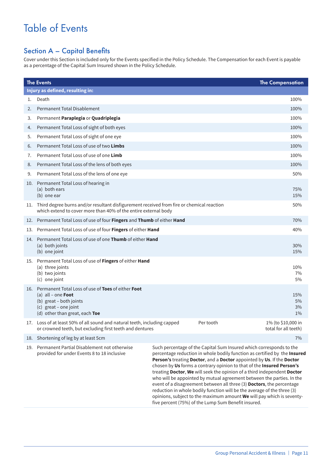## Table of Events

## Section A – Capital Benefits

Cover under this Section is included only for the Events specified in the Policy Schedule. The Compensation for each Event is payable as a percentage of the Capital Sum Insured shown in the Policy Schedule.

|    | <b>The Events</b>                                                                                                                                                  |                                                                                                                                                                                                                                                                                                                                                                                                                                                                                                                                                                                                                                                                                                                                            | <b>The Compensation</b>                    |  |
|----|--------------------------------------------------------------------------------------------------------------------------------------------------------------------|--------------------------------------------------------------------------------------------------------------------------------------------------------------------------------------------------------------------------------------------------------------------------------------------------------------------------------------------------------------------------------------------------------------------------------------------------------------------------------------------------------------------------------------------------------------------------------------------------------------------------------------------------------------------------------------------------------------------------------------------|--------------------------------------------|--|
|    | Injury as defined, resulting in:                                                                                                                                   |                                                                                                                                                                                                                                                                                                                                                                                                                                                                                                                                                                                                                                                                                                                                            |                                            |  |
| 1. | Death                                                                                                                                                              |                                                                                                                                                                                                                                                                                                                                                                                                                                                                                                                                                                                                                                                                                                                                            | 100%                                       |  |
| 2. | Permanent Total Disablement                                                                                                                                        |                                                                                                                                                                                                                                                                                                                                                                                                                                                                                                                                                                                                                                                                                                                                            | 100%                                       |  |
| 3. | Permanent Paraplegia or Quadriplegia                                                                                                                               |                                                                                                                                                                                                                                                                                                                                                                                                                                                                                                                                                                                                                                                                                                                                            | 100%                                       |  |
| 4. | Permanent Total Loss of sight of both eyes                                                                                                                         |                                                                                                                                                                                                                                                                                                                                                                                                                                                                                                                                                                                                                                                                                                                                            | 100%                                       |  |
| 5. | Permanent Total Loss of sight of one eye                                                                                                                           |                                                                                                                                                                                                                                                                                                                                                                                                                                                                                                                                                                                                                                                                                                                                            | 100%                                       |  |
| 6. | Permanent Total Loss of use of two Limbs                                                                                                                           |                                                                                                                                                                                                                                                                                                                                                                                                                                                                                                                                                                                                                                                                                                                                            | 100%                                       |  |
| 7. | Permanent Total Loss of use of one Limb                                                                                                                            |                                                                                                                                                                                                                                                                                                                                                                                                                                                                                                                                                                                                                                                                                                                                            | 100%                                       |  |
| 8. | Permanent Total Loss of the lens of both eyes                                                                                                                      |                                                                                                                                                                                                                                                                                                                                                                                                                                                                                                                                                                                                                                                                                                                                            | 100%                                       |  |
| 9. | Permanent Total Loss of the lens of one eye                                                                                                                        |                                                                                                                                                                                                                                                                                                                                                                                                                                                                                                                                                                                                                                                                                                                                            | 50%                                        |  |
|    | 10. Permanent Total Loss of hearing in<br>(a) both ears<br>(b) one ear                                                                                             |                                                                                                                                                                                                                                                                                                                                                                                                                                                                                                                                                                                                                                                                                                                                            | 75%<br>15%                                 |  |
|    | 11. Third degree burns and/or resultant disfigurement received from fire or chemical reaction<br>which extend to cover more than 40% of the entire external body   |                                                                                                                                                                                                                                                                                                                                                                                                                                                                                                                                                                                                                                                                                                                                            | 50%                                        |  |
|    | 12. Permanent Total Loss of use of four Fingers and Thumb of either Hand                                                                                           |                                                                                                                                                                                                                                                                                                                                                                                                                                                                                                                                                                                                                                                                                                                                            | 70%                                        |  |
|    | 13. Permanent Total Loss of use of four Fingers of either Hand                                                                                                     |                                                                                                                                                                                                                                                                                                                                                                                                                                                                                                                                                                                                                                                                                                                                            | 40%                                        |  |
|    | 14. Permanent Total Loss of use of one Thumb of either Hand<br>(a) both joints<br>(b) one joint                                                                    |                                                                                                                                                                                                                                                                                                                                                                                                                                                                                                                                                                                                                                                                                                                                            | 30%<br>15%                                 |  |
|    | 15. Permanent Total Loss of use of Fingers of either Hand<br>(a) three joints<br>(b) two joints<br>(c) one joint                                                   |                                                                                                                                                                                                                                                                                                                                                                                                                                                                                                                                                                                                                                                                                                                                            | 10%<br>7%<br>5%                            |  |
|    | 16. Permanent Total Loss of use of Toes of either Foot<br>(a) all – one Foot<br>(b) great - both joints<br>(c) great - one joint<br>(d) other than great, each Toe |                                                                                                                                                                                                                                                                                                                                                                                                                                                                                                                                                                                                                                                                                                                                            | 15%<br>5%<br>3%<br>$1\%$                   |  |
|    | 17. Loss of at least 50% of all sound and natural teeth, including capped<br>or crowned teeth, but excluding first teeth and dentures                              | Per tooth                                                                                                                                                                                                                                                                                                                                                                                                                                                                                                                                                                                                                                                                                                                                  | 1% (to \$10,000 in<br>total for all teeth) |  |
|    | 18. Shortening of leg by at least 5cm                                                                                                                              |                                                                                                                                                                                                                                                                                                                                                                                                                                                                                                                                                                                                                                                                                                                                            | 7%                                         |  |
|    | 19. Permanent Partial Disablement not otherwise<br>provided for under Events 8 to 18 inclusive                                                                     | Such percentage of the Capital Sum Insured which corresponds to the<br>percentage reduction in whole bodily function as certified by the Insured<br>Person's treating Doctor, and a Doctor appointed by Us. If the Doctor<br>chosen by Us forms a contrary opinion to that of the Insured Person's<br>treating Doctor, We will seek the opinion of a third independent Doctor<br>who will be appointed by mutual agreement between the parties. In the<br>event of a disagreement between all three (3) Doctors, the percentage<br>reduction in whole bodily function will be the average of the three (3)<br>opinions, subject to the maximum amount We will pay which is seventy-<br>five percent (75%) of the Lump Sum Benefit insured. |                                            |  |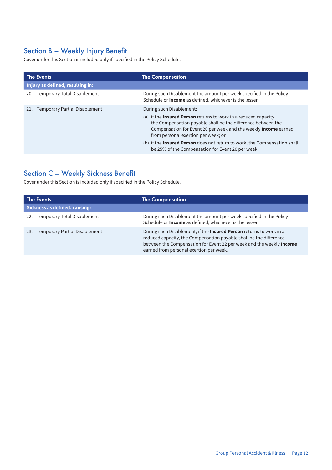## Section B – Weekly Injury Benefit

Cover under this Section is included only if specified in the Policy Schedule.

| <b>The Events</b>                           | <b>The Compensation</b>                                                                                                                                                                                                                                                                                                                                                                                         |  |  |
|---------------------------------------------|-----------------------------------------------------------------------------------------------------------------------------------------------------------------------------------------------------------------------------------------------------------------------------------------------------------------------------------------------------------------------------------------------------------------|--|--|
| Injury as defined, resulting in:            |                                                                                                                                                                                                                                                                                                                                                                                                                 |  |  |
| Temporary Total Disablement<br>20.          | During such Disablement the amount per week specified in the Policy<br>Schedule or Income as defined, whichever is the lesser.                                                                                                                                                                                                                                                                                  |  |  |
| <b>Temporary Partial Disablement</b><br>21. | During such Disablement:<br>(a) if the Insured Person returns to work in a reduced capacity,<br>the Compensation payable shall be the difference between the<br>Compensation for Event 20 per week and the weekly Income earned<br>from personal exertion per week; or<br>(b) if the <b>Insured Person</b> does not return to work, the Compensation shall<br>be 25% of the Compensation for Event 20 per week. |  |  |

## Section C – Weekly Sickness Benefit

Cover under this Section is included only if specified in the Policy Schedule.

| <b>The Events</b>                           | <b>The Compensation</b>                                                                                                                                                                                                                                      |  |  |
|---------------------------------------------|--------------------------------------------------------------------------------------------------------------------------------------------------------------------------------------------------------------------------------------------------------------|--|--|
| <b>Sickness as defined, causing:</b>        |                                                                                                                                                                                                                                                              |  |  |
| Temporary Total Disablement<br>22.          | During such Disablement the amount per week specified in the Policy<br>Schedule or <b>Income</b> as defined, whichever is the lesser.                                                                                                                        |  |  |
| <b>Temporary Partial Disablement</b><br>23. | During such Disablement, if the Insured Person returns to work in a<br>reduced capacity, the Compensation payable shall be the difference<br>between the Compensation for Event 22 per week and the weekly Income<br>earned from personal exertion per week. |  |  |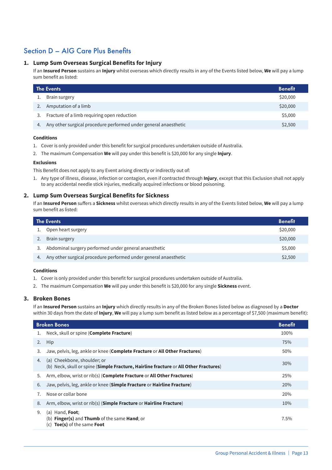## Section D – AIG Care Plus Benefits

#### **1. Lump Sum Overseas Surgical Benefits for Injury**

If an **Insured Person** sustains an **Injury** whilst overseas which directly results in any of the Events listed below, **We** will pay a lump sum benefit as listed:

| The Events |                                                                  | <b>Benefit</b> |
|------------|------------------------------------------------------------------|----------------|
|            | Brain surgery                                                    | \$20,000       |
|            | Amputation of a limb                                             | \$20,000       |
| 3.         | Fracture of a limb requiring open reduction                      | \$5,000        |
| 4.         | Any other surgical procedure performed under general anaesthetic | \$2,500        |

#### **Conditions**

- 1. Cover is only provided under this benefit for surgical procedures undertaken outside of Australia.
- 2. The maximum Compensation **We** will pay under this benefit is \$20,000 for any single **Injury**.

#### **Exclusions**

This Benefit does not apply to any Event arising directly or indirectly out of:

1. Any type of illness, disease, infection or contagion, even if contracted through **Injury**, except that this Exclusion shall not apply to any accidental needle stick injuries, medically acquired infections or blood poisoning.

#### **2. Lump Sum Overseas Surgical Benefits for Sickness**

If an **Insured Person** suffers a **Sickness** whilst overseas which directly results in any of the Events listed below, **We** will pay a lump sum benefit as listed:

| The Events |                                                                  | <b>Benefit</b> |
|------------|------------------------------------------------------------------|----------------|
|            | Open heart surgery                                               | \$20,000       |
|            | Brain surgery                                                    | \$20,000       |
|            | Abdominal surgery performed under general anaesthetic            | \$5,000        |
| 4.         | Any other surgical procedure performed under general anaesthetic | \$2,500        |

#### **Conditions**

- 1. Cover is only provided under this benefit for surgical procedures undertaken outside of Australia.
- 2. The maximum Compensation **We** will pay under this benefit is \$20,000 for any single **Sickness** event.

#### **3. Broken Bones**

If an **Insured Person** sustains an **Injury** which directly results in any of the Broken Bones listed below as diagnosed by a **Doctor** within 30 days from the date of *Injury*, We will pay a lump sum benefit as listed below as a percentage of \$7,500 (maximum benefit):

| <b>Broken Bones</b><br><b>Benefit</b> |                                                                                                                                   |      |
|---------------------------------------|-----------------------------------------------------------------------------------------------------------------------------------|------|
| 1.                                    | Neck, skull or spine ( <b>Complete Fracture</b> )                                                                                 | 100% |
| 2.                                    | Hip                                                                                                                               | 75%  |
| 3.                                    | Jaw, pelvis, leg, ankle or knee (Complete Fracture or All Other Fractures)                                                        | 50%  |
| 4.                                    | (a) Cheekbone, shoulder; or<br>(b) Neck, skull or spine (Simple Fracture, Hairline fracture or All Other Fractures)               | 30%  |
| 5.                                    | Arm, elbow, wrist or rib(s) (Complete Fracture or All Other Fractures)                                                            | 25%  |
| 6.                                    | Jaw, pelvis, leg, ankle or knee (Simple Fracture or Hairline Fracture)                                                            | 20%  |
| 7.                                    | Nose or collar bone                                                                                                               | 20%  |
| 8.                                    | Arm, elbow, wrist or rib(s) (Simple Fracture or Hairline Fracture)                                                                | 10%  |
| 9.                                    | (a) Hand, $\text{Foot}$ ;<br>(b) <b>Finger(s)</b> and <b>Thumb</b> of the same <b>Hand</b> ; or<br>Toe(s) of the same Foot<br>(c) | 7.5% |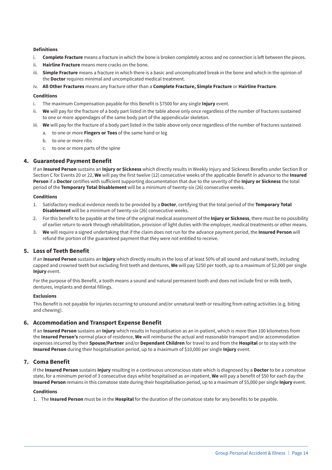#### **Definitions**

- i. **Complete Fracture** means a fracture in which the bone is broken completely across and no connection is left between the pieces.
- ii. **Hairline Fracture** means mere cracks on the bone.
- iii. **Simple Fracture** means a fracture in which there is a basic and uncomplicated break in the bone and which in the opinion of the **Doctor** requires minimal and uncomplicated medical treatment.
- iv. **All Other Fractures** means any fracture other than a **Complete Fracture, Simple Fracture** or **Hairline Fracture**.

#### **Conditions**

- i. The maximum Compensation payable for this Benefit is \$7500 for any single **Injury** event.
- ii. **We** will pay for the fracture of a body part listed in the table above only once regardless of the number of fractures sustained to one or more appendages of the same body part of the appendicular skeleton.
- iii. **We** will pay for the fracture of a body part listed in the table above only once regardless of the number of fractures sustained
	- a. to one or more **Fingers or Toes** of the same hand or leg
	- b. to one or more ribs
	- c. to one or more parts of the spine

#### **4. Guaranteed Payment Benefit**

If an **Insured Person** sustains an **Injury or Sickness** which directly results in Weekly Injury and Sickness Benefits under Section B or Section C for Events 20 or 22, **We** will pay the first twelve (12) consecutive weeks of the applicable Benefit in advance to the **Insured Person** if a **Doctor** certifies with sufficient supporting documentation that due to the severity of the **Injury or Sickness** the total period of the **Temporary Total Disablement** will be a minimum of twenty-six (26) consecutive weeks.

#### **Conditions**

- 1. Satisfactory medical evidence needs to be provided by a **Doctor**, certifying that the total period of the **Temporary Total Disablement** will be a minimum of twenty-six (26) consecutive weeks.
- 2. For this benefit to be payable at the time of the original medical assessment of the **Injury or Sickness**, there must be no possibility of earlier return to work through rehabilitation, provision of light duties with the employer, medical treatments or other means.
- 3. **We** will require a signed undertaking that if the claim does not run for the advance payment period, the **Insured Person** will refund the portion of the guaranteed payment that they were not entitled to receive.

#### **5. Loss of Teeth Benefit**

If an **Insured Person** sustains an **Injury** which directly results in the loss of at least 50% of all sound and natural teeth, including capped and crowned teeth but excluding first teeth and dentures, **We** will pay \$250 per tooth, up to a maximum of \$2,000 per single **Injury** event.

For the purpose of this Benefit, a tooth means a sound and natural permanent tooth and does not include first or milk teeth, dentures, implants and dental fillings.

#### **Exclusions**

This Benefit is not payable for injuries occurring to unsound and/or unnatural teeth or resulting from eating activities (e.g. biting and chewing).

#### **6. Accommodation and Transport Expense Benefit**

If an **Insured Person** sustains an **Injury** which results in hospitalisation as an in-patient, which is more than 100 kilometres from the **Insured Person's** normal place of residence, **We** will reimburse the actual and reasonable transport and/or accommodation expenses incurred by their **Spouse/Partner** and/or **Dependant Children** for travel to and from the **Hospital** or to stay with the **Insured Person** during their hospitalisation period, up to a maximum of \$10,000 per single **Injury** event.

#### **7. Coma Benefit**

If the **Insured Person** sustains **Injury** resulting in a continuous unconscious state which is diagnosed by a **Doctor** to be a comatose state, for a minimum period of 3 consecutive days whilst hospitalised as an inpatient, **We** will pay a benefit of \$50 for each day the **Insured Person** remains in this comatose state during their hospitalisation period, up to a maximum of \$5,000 per single **Injury** event.

#### **Conditions**

1. The **Insured Person** must be in the **Hospital** for the duration of the comatose state for any benefits to be payable.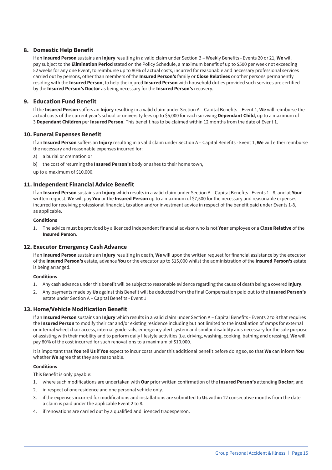#### **8. Domestic Help Benefit**

If an **Insured Person** sustains an **Injury** resulting in a valid claim under Section B – Weekly Benefits - Events 20 or 21, **We** will pay subject to the **Elimination Period** stated on the Policy Schedule, a maximum benefit of up to \$500 per week not exceeding 52 weeks for any one Event, to reimburse up to 80% of actual costs, incurred for reasonable and necessary professional services carried out by persons, other than members of the **Insured Person's** family or **Close Relatives** or other persons permanently residing with the **Insured Person**, to help the injured **Insured Person** with household duties provided such services are certified by the **Insured Person's Doctor** as being necessary for the **Insured Person's** recovery.

#### **9. Education Fund Benefit**

If the **Insured Person** suffers an **Injury** resulting in a valid claim under Section A – Capital Benefits – Event 1, **We** will reimburse the actual costs of the current year's school or university fees up to \$5,000 for each surviving **Dependant Child**, up to a maximum of 3 **Dependant Children** per **Insured Person**. This benefit has to be claimed within 12 months from the date of Event 1.

#### **10. Funeral Expenses Benefit**

If an **Insured Person** suffers an **Injury** resulting in a valid claim under Section A – Capital Benefits - Event 1, **We** will either reimburse the necessary and reasonable expenses incurred for:

- a) a burial or cremation or
- b) the cost of returning the **Insured Person's** body or ashes to their home town,

up to a maximum of \$10,000.

#### **11. Independent Financial Advice Benefit**

If an **Insured Person** sustains an **Injury** which results in a valid claim under Section A – Capital Benefits - Events 1 - 8, and at **Your** written request, **We** will pay **You** or the **Insured Person** up to a maximum of \$7,500 for the necessary and reasonable expenses incurred for receiving professional financial, taxation and/or investment advice in respect of the benefit paid under Events 1-8, as applicable.

#### **Conditions**

1. The advice must be provided by a licenced independent financial advisor who is not **Your** employee or a **Close Relative** of the **Insured Person**.

#### **12. Executor Emergency Cash Advance**

If an **Insured Person** sustains an **Injury** resulting in death, **We** will upon the written request for financial assistance by the executor of the **Insured Person's** estate, advance **You** or the executor up to \$15,000 whilst the administration of the **Insured Person's** estate is being arranged.

#### **Conditions**

- 1. Any cash advance under this benefit will be subject to reasonable evidence regarding the cause of death being a covered **Injury**.
- 2. Any payments made by **Us** against this Benefit will be deducted from the final Compensation paid out to the **Insured Person's** estate under Section A – Capital Benefits - Event 1

#### **13. Home/Vehicle Modification Benefit**

If an **Insured Person** sustains an **Injury** which results in a valid claim under Section A – Capital Benefits - Events 2 to 8 that requires the **Insured Person** to modify their car and/or existing residence including but not limited to the installation of ramps for external or internal wheel chair access, internal guide rails, emergency alert system and similar disability aids necessary for the sole purpose of assisting with their mobility and to perform daily lifestyle activities (i.e. driving, washing, cooking, bathing and dressing), **We** will pay 80% of the cost incurred for such renovations to a maximum of \$10,000.

It is important that **You** tell **Us** if **You** expect to incur costs under this additional benefit before doing so, so that **We** can inform **You** whether **We** agree that they are reasonable.

#### **Conditions**

This Benefit is only payable:

- 1. where such modifications are undertaken with **Our** prior written confirmation of the **Insured Person's** attending **Doctor**; and
- 2. in respect of one residence and one personal vehicle only.
- 3. if the expenses incurred for modifications and installations are submitted to **Us** within 12 consecutive months from the date a claim is paid under the applicable Event 2 to 8.
- 4. if renovations are carried out by a qualified and licenced tradesperson.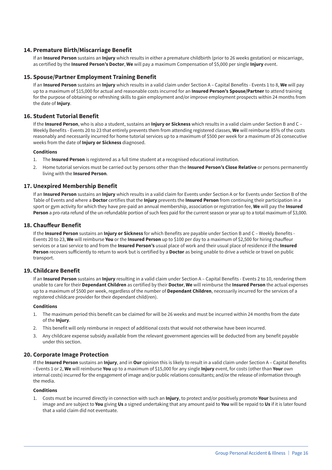#### **14. Premature Birth/Miscarriage Benefit**

If an **Insured Person** sustains an **Injury** which results in either a premature childbirth (prior to 26 weeks gestation) or miscarriage, as certified by the **Insured Person's Doctor**, **We** will pay a maximum Compensation of \$5,000 per single **Injury** event.

#### **15. Spouse/Partner Employment Training Benefit**

If an **Insured Person** sustains an **Injury** which results in a valid claim under Section A – Capital Benefits - Events 1 to 8, **We** will pay up to a maximum of \$15,000 for actual and reasonable costs incurred for an **Insured Person's Spouse/Partner** to attend training for the purpose of obtaining or refreshing skills to gain employment and/or improve employment prospects within 24 months from the date of **Injury**.

#### **16. Student Tutorial Benefit**

If the **Insured Person**, who is also a student, sustains an **Injury or Sickness** which results in a valid claim under Section B and C – Weekly Benefits - Events 20 to 23 that entirely prevents them from attending registered classes, **We** will reimburse 85% of the costs reasonably and necessarily incurred for home tutorial services up to a maximum of \$500 per week for a maximum of 26 consecutive weeks from the date of **Injury or Sickness** diagnosed.

#### **Conditions**

- 1. The **Insured Person** is registered as a full time student at a recognised educational institution.
- 2. Home tutorial services must be carried out by persons other than the **Insured Person's Close Relative** or persons permanently living with the **Insured Person**.

#### **17. Unexpired Membership Benefit**

If an **Insured Person** sustains an **Injury** which results in a valid claim for Events under Section A or for Events under Section B of the Table of Events and where a **Doctor** certifies that the **Injury** prevents the **Insured Person** from continuing their participation in a sport or gym activity for which they have pre-paid an annual membership, association or registration fee, **We** will pay the **Insured Person** a pro-rata refund of the un-refundable portion of such fees paid for the current season or year up to a total maximum of \$3,000.

#### **18. Chauffeur Benefit**

If the **Insured Person** sustains an **Injury or Sickness** for which Benefits are payable under Section B and C – Weekly Benefits - Events 20 to 23, **We** will reimburse **You** or the **Insured Person** up to \$100 per day to a maximum of \$2,500 for hiring chauffeur services or a taxi service to and from the **Insured Person's** usual place of work and their usual place of residence if the **Insured Person** recovers sufficiently to return to work but is certified by a **Doctor** as being unable to drive a vehicle or travel on public transport.

#### **19. Childcare Benefit**

If an **Insured Person** sustains an **Injury** resulting in a valid claim under Section A – Capital Benefits - Events 2 to 10, rendering them unable to care for their **Dependant Children** as certified by their **Doctor**, **We** will reimburse the **Insured Person** the actual expenses up to a maximum of \$500 per week, regardless of the number of **Dependant Children**, necessarily incurred for the services of a registered childcare provider for their dependant child(ren).

#### **Conditions**

- 1. The maximum period this benefit can be claimed for will be 26 weeks and must be incurred within 24 months from the date of the **Injury**.
- 2. This benefit will only reimburse in respect of additional costs that would not otherwise have been incurred.
- 3. Any childcare expense subsidy available from the relevant government agencies will be deducted from any benefit payable under this section.

#### **20. Corporate Image Protection**

If the **Insured Person** sustains an **Injury**, and in **Our** opinion this is likely to result in a valid claim under Section A – Capital Benefits - Events 1 or 2, **We** will reimburse **You** up to a maximum of \$15,000 for any single **Injury** event, for costs (other than **Your** own internal costs) incurred for the engagement of image and/or public relations consultants; and/or the release of information through the media.

#### **Conditions**

1. Costs must be incurred directly in connection with such an **Injury**, to protect and/or positively promote **Your** business and image and are subject to **You** giving **Us** a signed undertaking that any amount paid to **You** will be repaid to **Us** if it is later found that a valid claim did not eventuate.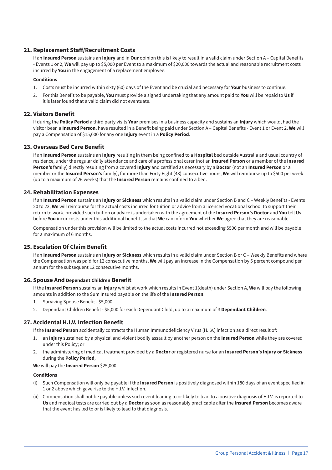#### **21. Replacement Staff/Recruitment Costs**

If an **Insured Person** sustains an **Injury** and in **Our** opinion this is likely to result in a valid claim under Section A – Capital Benefits - Events 1 or 2, **We** will pay up to \$5,000 per Event to a maximum of \$20,000 towards the actual and reasonable recruitment costs incurred by **You** in the engagement of a replacement employee.

#### **Conditions**

- 1. Costs must be incurred within sixty (60) days of the Event and be crucial and necessary for **Your** business to continue.
- 2. For this Benefit to be payable, **You** must provide a signed undertaking that any amount paid to **You** will be repaid to **Us** if it is later found that a valid claim did not eventuate.

#### **22. Visitors Benefit**

If during the **Policy Period** a third party visits **Your** premises in a business capacity and sustains an **Injury** which would, had the visitor been a **Insured Person**, have resulted in a Benefit being paid under Section A – Capital Benefits - Event 1 or Event 2, **We** will pay a Compensation of \$15,000 for any one **Injury** event in a **Policy Period**.

#### **23. Overseas Bed Care Benefit**

If an **Insured Person** sustains an **Injury** resulting in them being confined to a **Hospital** bed outside Australia and usual country of residence, under the regular daily attendance and care of a professional carer (not an **Insured Person** or a member of the **Insured Person's** family) directly resulting from a covered **Injury** and certified as necessary by a **Doctor** (not an **Insured Person** or a member or the **Insured Person's** family), for more than Forty Eight (48) consecutive hours, **We** will reimburse up to \$500 per week (up to a maximum of 26 weeks) that the **Insured Person** remains confined to a bed.

#### **24. Rehabilitation Expenses**

If an **Insured Person** sustains an **Injury or Sickness** which results in a valid claim under Section B and C – Weekly Benefits - Events 20 to 23, **We** will reimburse for the actual costs incurred for tuition or advice from a licenced vocational school to support their return to work, provided such tuition or advice is undertaken with the agreement of the **Insured Person's Doctor** and **You** tell **Us** before **You** incur costs under this additional benefit, so that **We** can inform **You** whether **We** agree that they are reasonable.

Compensation under this provision will be limited to the actual costs incurred not exceeding \$500 per month and will be payable for a maximum of 6 months.

#### **25. Escalation Of Claim Benefit**

If an **Insured Person** sustains an **Injury or Sickness** which results in a valid claim under Section B or C – Weekly Benefits and where the Compensation was paid for 12 consecutive months, **We** will pay an increase in the Compensation by 5 percent compound per annum for the subsequent 12 consecutive months.

#### **26. Spouse And Dependant Children Benefit**

If the **Insured Person** sustains an **Injury** whilst at work which results in Event 1(death) under Section A, **We** will pay the following amounts in addition to the Sum Insured payable on the life of the **Insured Person**:

- 1. Surviving Spouse Benefit \$5,000.
- 2. Dependant Children Benefit \$5,000 for each Dependant Child, up to a maximum of 3 **Dependant Children**.

#### **27. Accidental H.I.V. Infection Benefit**

If the **Insured Person** accidentally contracts the Human Immunodeficiency Virus (H.I.V.) infection as a direct result of:

- 1. an **Injury** sustained by a physical and violent bodily assault by another person on the **Insured Person** while they are covered under this Policy; or
- 2. the administering of medical treatment provided by a **Doctor** or registered nurse for an **Insured Person's Injury or Sickness** during the **Policy Period**,

#### **We** will pay the **Insured Person** \$25,000.

#### **Conditions**

- (i) Such Compensation will only be payable if the **Insured Person** is positively diagnosed within 180 days of an event specified in 1 or 2 above which gave rise to the H.I.V. infection.
- (ii) Compensation shall not be payable unless such event leading to or likely to lead to a positive diagnosis of H.I.V. is reported to **Us** and medical tests are carried out by a **Doctor** as soon as reasonably practicable after the **Insured Person** becomes aware that the event has led to or is likely to lead to that diagnosis.